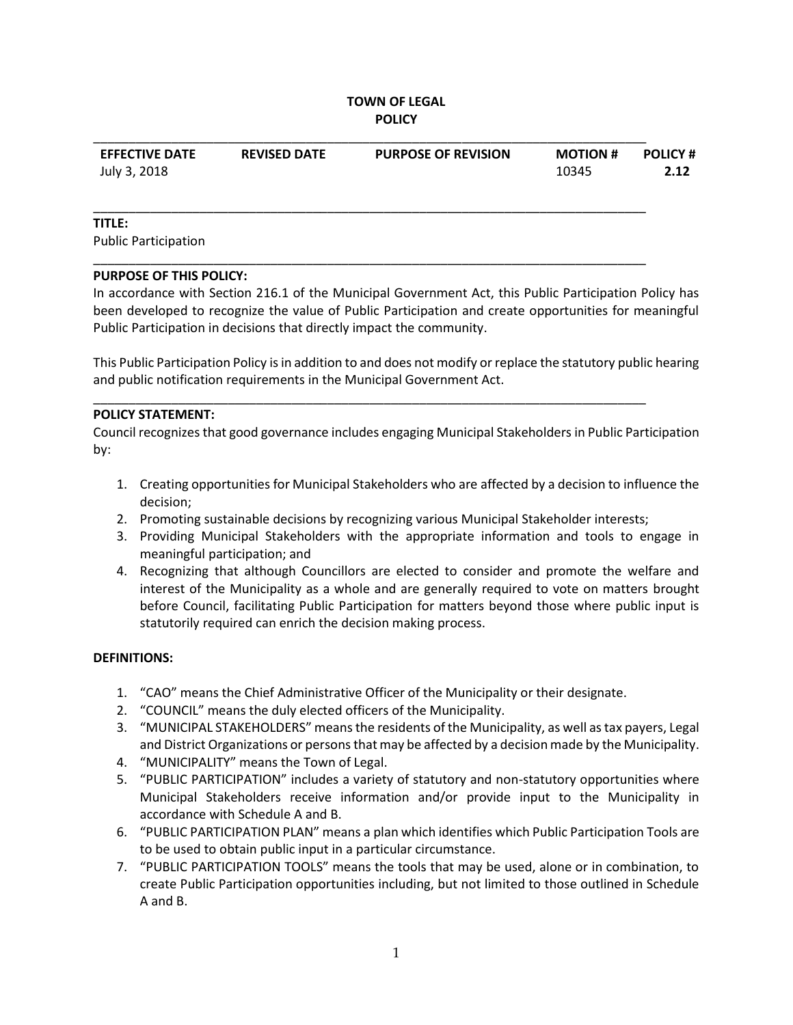### **TOWN OF LEGAL POLICY**

| <b>EFFECTIVE DATE</b> | <b>REVISED DATE</b> | <b>PURPOSE OF REVISION</b> | <b>MOTION #</b> | <b>POLICY #</b> |
|-----------------------|---------------------|----------------------------|-----------------|-----------------|
| July 3, 2018          |                     |                            | 10345           | 2.12            |
|                       |                     |                            |                 |                 |

\_\_\_\_\_\_\_\_\_\_\_\_\_\_\_\_\_\_\_\_\_\_\_\_\_\_\_\_\_\_\_\_\_\_\_\_\_\_\_\_\_\_\_\_\_\_\_\_\_\_\_\_\_\_\_\_\_\_\_\_\_\_\_\_\_\_\_\_\_\_\_\_\_\_\_\_\_\_

\_\_\_\_\_\_\_\_\_\_\_\_\_\_\_\_\_\_\_\_\_\_\_\_\_\_\_\_\_\_\_\_\_\_\_\_\_\_\_\_\_\_\_\_\_\_\_\_\_\_\_\_\_\_\_\_\_\_\_\_\_\_\_\_\_\_\_\_\_\_\_\_\_\_\_\_\_\_

\_\_\_\_\_\_\_\_\_\_\_\_\_\_\_\_\_\_\_\_\_\_\_\_\_\_\_\_\_\_\_\_\_\_\_\_\_\_\_\_\_\_\_\_\_\_\_\_\_\_\_\_\_\_\_\_\_\_\_\_\_\_\_\_\_\_\_\_\_\_\_\_\_\_\_\_\_\_

#### **TITLE:**

Public Participation

#### **PURPOSE OF THIS POLICY:**

In accordance with Section 216.1 of the Municipal Government Act, this Public Participation Policy has been developed to recognize the value of Public Participation and create opportunities for meaningful Public Participation in decisions that directly impact the community.

This Public Participation Policy is in addition to and does not modify or replace the statutory public hearing and public notification requirements in the Municipal Government Act.

#### **POLICY STATEMENT:**

Council recognizes that good governance includes engaging Municipal Stakeholders in Public Participation by:

- 1. Creating opportunities for Municipal Stakeholders who are affected by a decision to influence the decision;
- 2. Promoting sustainable decisions by recognizing various Municipal Stakeholder interests;
- 3. Providing Municipal Stakeholders with the appropriate information and tools to engage in meaningful participation; and
- 4. Recognizing that although Councillors are elected to consider and promote the welfare and interest of the Municipality as a whole and are generally required to vote on matters brought before Council, facilitating Public Participation for matters beyond those where public input is statutorily required can enrich the decision making process.

### **DEFINITIONS:**

- 1. "CAO" means the Chief Administrative Officer of the Municipality or their designate.
- 2. "COUNCIL" means the duly elected officers of the Municipality.
- 3. "MUNICIPAL STAKEHOLDERS" means the residents of the Municipality, as well as tax payers, Legal and District Organizations or persons that may be affected by a decision made by the Municipality.
- 4. "MUNICIPALITY" means the Town of Legal.
- 5. "PUBLIC PARTICIPATION" includes a variety of statutory and non-statutory opportunities where Municipal Stakeholders receive information and/or provide input to the Municipality in accordance with Schedule A and B.
- 6. "PUBLIC PARTICIPATION PLAN" means a plan which identifies which Public Participation Tools are to be used to obtain public input in a particular circumstance.
- 7. "PUBLIC PARTICIPATION TOOLS" means the tools that may be used, alone or in combination, to create Public Participation opportunities including, but not limited to those outlined in Schedule A and B.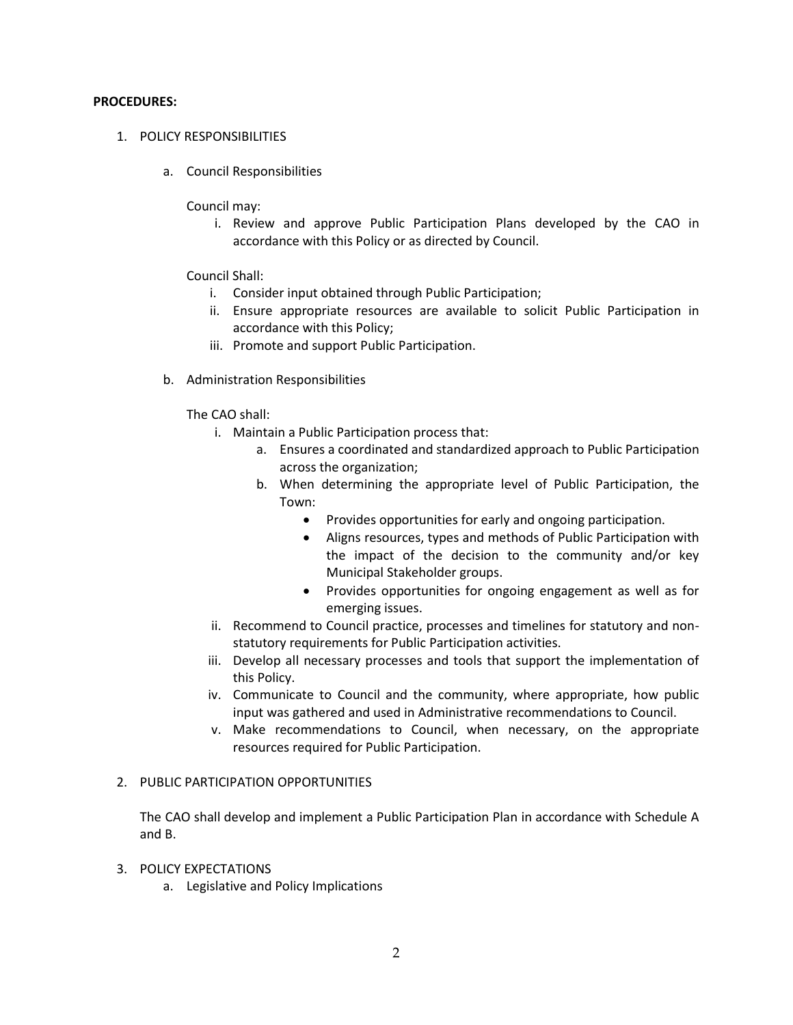#### **PROCEDURES:**

- 1. POLICY RESPONSIBILITIES
	- a. Council Responsibilities

Council may:

i. Review and approve Public Participation Plans developed by the CAO in accordance with this Policy or as directed by Council.

### Council Shall:

- i. Consider input obtained through Public Participation;
- ii. Ensure appropriate resources are available to solicit Public Participation in accordance with this Policy;
- iii. Promote and support Public Participation.
- b. Administration Responsibilities

The CAO shall:

- i. Maintain a Public Participation process that:
	- a. Ensures a coordinated and standardized approach to Public Participation across the organization;
	- b. When determining the appropriate level of Public Participation, the Town:
		- Provides opportunities for early and ongoing participation.
		- Aligns resources, types and methods of Public Participation with the impact of the decision to the community and/or key Municipal Stakeholder groups.
		- Provides opportunities for ongoing engagement as well as for emerging issues.
- ii. Recommend to Council practice, processes and timelines for statutory and nonstatutory requirements for Public Participation activities.
- iii. Develop all necessary processes and tools that support the implementation of this Policy.
- iv. Communicate to Council and the community, where appropriate, how public input was gathered and used in Administrative recommendations to Council.
- v. Make recommendations to Council, when necessary, on the appropriate resources required for Public Participation.

### 2. PUBLIC PARTICIPATION OPPORTUNITIES

The CAO shall develop and implement a Public Participation Plan in accordance with Schedule A and B.

- 3. POLICY EXPECTATIONS
	- a. Legislative and Policy Implications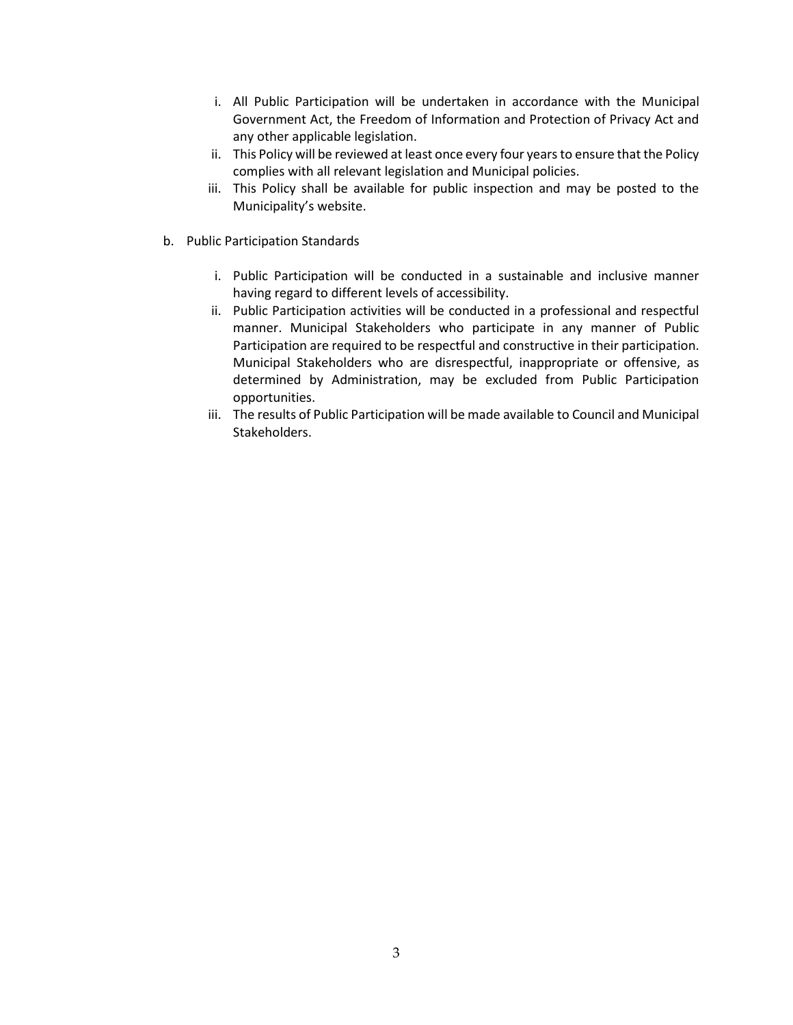- i. All Public Participation will be undertaken in accordance with the Municipal Government Act, the Freedom of Information and Protection of Privacy Act and any other applicable legislation.
- ii. This Policy will be reviewed at least once every four years to ensure that the Policy complies with all relevant legislation and Municipal policies.
- iii. This Policy shall be available for public inspection and may be posted to the Municipality's website.
- b. Public Participation Standards
	- i. Public Participation will be conducted in a sustainable and inclusive manner having regard to different levels of accessibility.
	- ii. Public Participation activities will be conducted in a professional and respectful manner. Municipal Stakeholders who participate in any manner of Public Participation are required to be respectful and constructive in their participation. Municipal Stakeholders who are disrespectful, inappropriate or offensive, as determined by Administration, may be excluded from Public Participation opportunities.
	- iii. The results of Public Participation will be made available to Council and Municipal Stakeholders.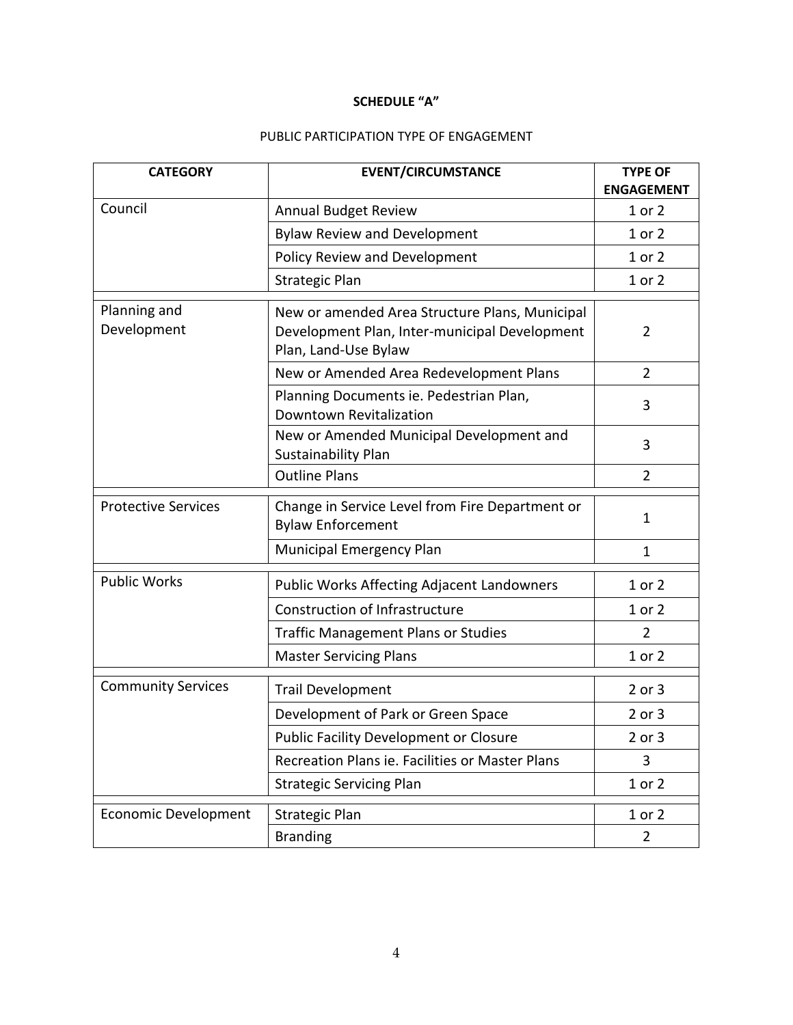## **SCHEDULE "A"**

# PUBLIC PARTICIPATION TYPE OF ENGAGEMENT

| <b>CATEGORY</b>             | <b>EVENT/CIRCUMSTANCE</b>                                                                                               | <b>TYPE OF</b><br><b>ENGAGEMENT</b> |
|-----------------------------|-------------------------------------------------------------------------------------------------------------------------|-------------------------------------|
| Council                     | <b>Annual Budget Review</b>                                                                                             | 1 or 2                              |
|                             | <b>Bylaw Review and Development</b>                                                                                     | 1 or 2                              |
|                             | Policy Review and Development                                                                                           | 1 or 2                              |
|                             | <b>Strategic Plan</b>                                                                                                   | 1 or 2                              |
| Planning and<br>Development | New or amended Area Structure Plans, Municipal<br>Development Plan, Inter-municipal Development<br>Plan, Land-Use Bylaw | 2                                   |
|                             | New or Amended Area Redevelopment Plans                                                                                 | 2                                   |
|                             | Planning Documents ie. Pedestrian Plan,<br>Downtown Revitalization                                                      | 3                                   |
|                             | New or Amended Municipal Development and<br>Sustainability Plan                                                         | 3                                   |
|                             | <b>Outline Plans</b>                                                                                                    | $\overline{2}$                      |
| <b>Protective Services</b>  | Change in Service Level from Fire Department or<br><b>Bylaw Enforcement</b>                                             | $\mathbf{1}$                        |
|                             | Municipal Emergency Plan                                                                                                | $\mathbf{1}$                        |
| <b>Public Works</b>         | <b>Public Works Affecting Adjacent Landowners</b>                                                                       | 1 or 2                              |
|                             | Construction of Infrastructure                                                                                          | 1 or 2                              |
|                             | <b>Traffic Management Plans or Studies</b>                                                                              | $\overline{2}$                      |
|                             | <b>Master Servicing Plans</b>                                                                                           | 1 or 2                              |
| <b>Community Services</b>   | <b>Trail Development</b>                                                                                                | 2 or 3                              |
|                             | Development of Park or Green Space                                                                                      | 2 or 3                              |
|                             | Public Facility Development or Closure                                                                                  | 2 or 3                              |
|                             | Recreation Plans ie. Facilities or Master Plans                                                                         | 3                                   |
|                             | <b>Strategic Servicing Plan</b>                                                                                         | 1 or 2                              |
| <b>Economic Development</b> | <b>Strategic Plan</b>                                                                                                   | 1 or 2                              |
|                             | <b>Branding</b>                                                                                                         | $\overline{2}$                      |